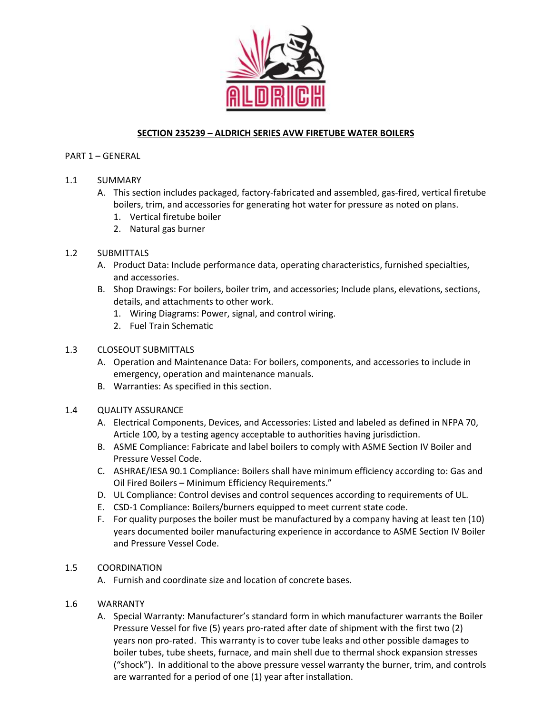

## **SECTION 235239 – ALDRICH SERIES AVW FIRETUBE WATER BOILERS**

#### PART 1 – GENERAL

### 1.1 SUMMARY

- A. This section includes packaged, factory-fabricated and assembled, gas-fired, vertical firetube boilers, trim, and accessories for generating hot water for pressure as noted on plans.
	- 1. Vertical firetube boiler
	- 2. Natural gas burner

### 1.2 SUBMITTALS

- A. Product Data: Include performance data, operating characteristics, furnished specialties, and accessories.
- B. Shop Drawings: For boilers, boiler trim, and accessories; Include plans, elevations, sections, details, and attachments to other work.
	- 1. Wiring Diagrams: Power, signal, and control wiring.
	- 2. Fuel Train Schematic

### 1.3 CLOSEOUT SUBMITTALS

- A. Operation and Maintenance Data: For boilers, components, and accessories to include in emergency, operation and maintenance manuals.
- B. Warranties: As specified in this section.

### 1.4 QUALITY ASSURANCE

- A. Electrical Components, Devices, and Accessories: Listed and labeled as defined in NFPA 70, Article 100, by a testing agency acceptable to authorities having jurisdiction.
- B. ASME Compliance: Fabricate and label boilers to comply with ASME Section IV Boiler and Pressure Vessel Code.
- C. ASHRAE/IESA 90.1 Compliance: Boilers shall have minimum efficiency according to: Gas and Oil Fired Boilers – Minimum Efficiency Requirements."
- D. UL Compliance: Control devises and control sequences according to requirements of UL.
- E. CSD-1 Compliance: Boilers/burners equipped to meet current state code.
- F. For quality purposes the boiler must be manufactured by a company having at least ten (10) years documented boiler manufacturing experience in accordance to ASME Section IV Boiler and Pressure Vessel Code.

### 1.5 COORDINATION

A. Furnish and coordinate size and location of concrete bases.

### 1.6 WARRANTY

A. Special Warranty: Manufacturer's standard form in which manufacturer warrants the Boiler Pressure Vessel for five (5) years pro-rated after date of shipment with the first two (2) years non pro-rated. This warranty is to cover tube leaks and other possible damages to boiler tubes, tube sheets, furnace, and main shell due to thermal shock expansion stresses ("shock"). In additional to the above pressure vessel warranty the burner, trim, and controls are warranted for a period of one (1) year after installation.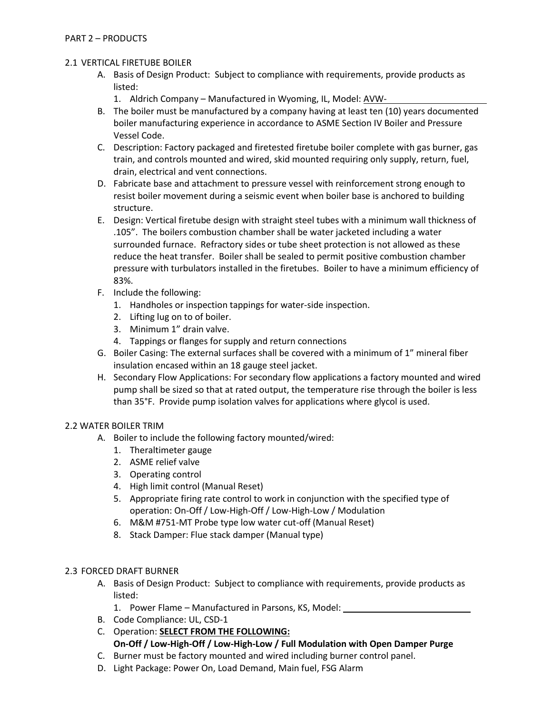## 2.1 VERTICAL FIRETUBE BOILER

- A. Basis of Design Product: Subject to compliance with requirements, provide products as listed:
	- 1. Aldrich Company Manufactured in Wyoming, IL, Model: AVW-
- B. The boiler must be manufactured by a company having at least ten (10) years documented boiler manufacturing experience in accordance to ASME Section IV Boiler and Pressure Vessel Code.
- C. Description: Factory packaged and firetested firetube boiler complete with gas burner, gas train, and controls mounted and wired, skid mounted requiring only supply, return, fuel, drain, electrical and vent connections.
- D. Fabricate base and attachment to pressure vessel with reinforcement strong enough to resist boiler movement during a seismic event when boiler base is anchored to building structure.
- E. Design: Vertical firetube design with straight steel tubes with a minimum wall thickness of .105". The boilers combustion chamber shall be water jacketed including a water surrounded furnace. Refractory sides or tube sheet protection is not allowed as these reduce the heat transfer. Boiler shall be sealed to permit positive combustion chamber pressure with turbulators installed in the firetubes. Boiler to have a minimum efficiency of 83%.
- F. Include the following:
	- 1. Handholes or inspection tappings for water-side inspection.
	- 2. Lifting lug on to of boiler.
	- 3. Minimum 1" drain valve.
	- 4. Tappings or flanges for supply and return connections
- G. Boiler Casing: The external surfaces shall be covered with a minimum of 1" mineral fiber insulation encased within an 18 gauge steel jacket.
- H. Secondary Flow Applications: For secondary flow applications a factory mounted and wired pump shall be sized so that at rated output, the temperature rise through the boiler is less than 35°F. Provide pump isolation valves for applications where glycol is used.

### 2.2 WATER BOILER TRIM

- A. Boiler to include the following factory mounted/wired:
	- 1. Theraltimeter gauge
	- 2. ASME relief valve
	- 3. Operating control
	- 4. High limit control (Manual Reset)
	- 5. Appropriate firing rate control to work in conjunction with the specified type of operation: On-Off / Low-High-Off / Low-High-Low / Modulation
	- 6. M&M #751-MT Probe type low water cut-off (Manual Reset)
	- 8. Stack Damper: Flue stack damper (Manual type)

### 2.3 FORCED DRAFT BURNER

- A. Basis of Design Product: Subject to compliance with requirements, provide products as listed:
	- 1. Power Flame Manufactured in Parsons, KS, Model:
- B. Code Compliance: UL, CSD-1
- C. Operation: **SELECT FROM THE FOLLOWING: On-Off / Low-High-Off / Low-High-Low / Full Modulation with Open Damper Purge**
- C. Burner must be factory mounted and wired including burner control panel.
- D. Light Package: Power On, Load Demand, Main fuel, FSG Alarm